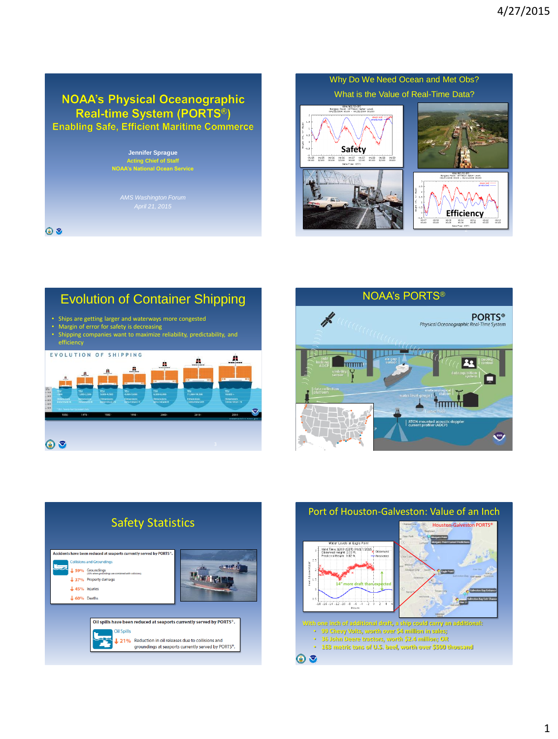## **NOAA's Physical Oceanographic** Real-time System (PORTS<sup>®</sup>) **Enabling Safe, Efficient Maritime Commerce**

### **Jennifer Sprague Acting Chief of Staff NOAA's National Ocean Service**

*AMS Washington Forum*

 $\odot$